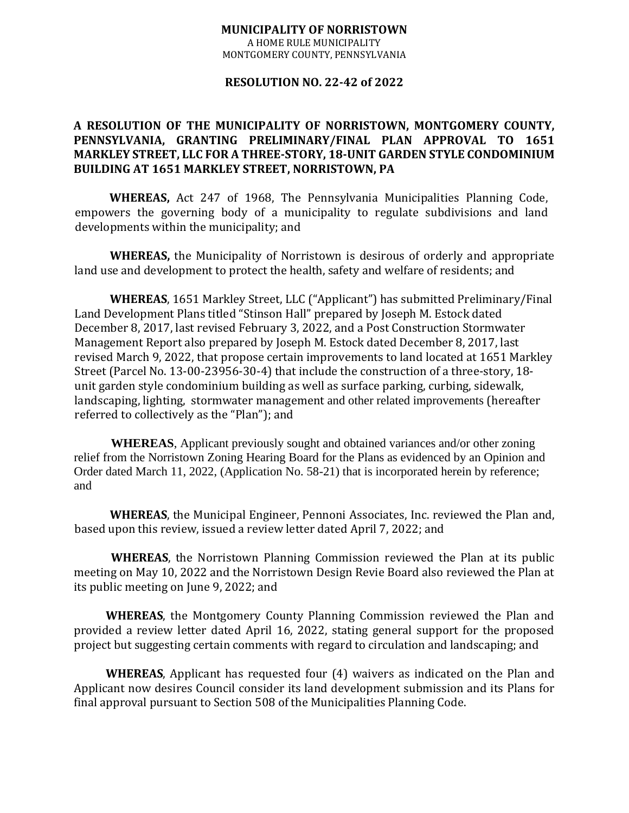## **MUNICIPALITY OF NORRISTOWN** A HOME RULE MUNICIPALITY

MONTGOMERY COUNTY, PENNSYLVANIA

## **RESOLUTION NO. 22-42 of 2022**

## **A RESOLUTION OF THE MUNICIPALITY OF NORRISTOWN, MONTGOMERY COUNTY, PENNSYLVANIA, GRANTING PRELIMINARY/FINAL PLAN APPROVAL TO 1651 MARKLEY STREET, LLC FOR A THREE-STORY, 18-UNIT GARDEN STYLE CONDOMINIUM BUILDING AT 1651 MARKLEY STREET, NORRISTOWN, PA**

**WHEREAS,** Act 247 of 1968, The Pennsylvania Municipalities Planning Code, empowers the governing body of a municipality to regulate subdivisions and land developments within the municipality; and

**WHEREAS,** the Municipality of Norristown is desirous of orderly and appropriate land use and development to protect the health, safety and welfare of residents; and

**WHEREAS**, 1651 Markley Street, LLC ("Applicant") has submitted Preliminary/Final Land Development Plans titled "Stinson Hall" prepared by Joseph M. Estock dated December 8, 2017, last revised February 3, 2022, and a Post Construction Stormwater Management Report also prepared by Joseph M. Estock dated December 8, 2017, last revised March 9, 2022, that propose certain improvements to land located at 1651 Markley Street (Parcel No. 13-00-23956-30-4) that include the construction of a three-story, 18 unit garden style condominium building as well as surface parking, curbing, sidewalk, landscaping, lighting, stormwater management and other related improvements (hereafter referred to collectively as the "Plan"); and

**WHEREAS**, Applicant previously sought and obtained variances and/or other zoning relief from the Norristown Zoning Hearing Board for the Plans as evidenced by an Opinion and Order dated March 11, 2022, (Application No. 58-21) that is incorporated herein by reference; and

**WHEREAS**, the Municipal Engineer, Pennoni Associates, Inc. reviewed the Plan and, based upon this review, issued a review letter dated April 7, 2022; and

**WHEREAS**, the Norristown Planning Commission reviewed the Plan at its public meeting on May 10, 2022 and the Norristown Design Revie Board also reviewed the Plan at its public meeting on June 9, 2022; and

**WHEREAS**, the Montgomery County Planning Commission reviewed the Plan and provided a review letter dated April 16, 2022, stating general support for the proposed project but suggesting certain comments with regard to circulation and landscaping; and

**WHEREAS**, Applicant has requested four (4) waivers as indicated on the Plan and Applicant now desires Council consider its land development submission and its Plans for final approval pursuant to Section 508 of the Municipalities Planning Code.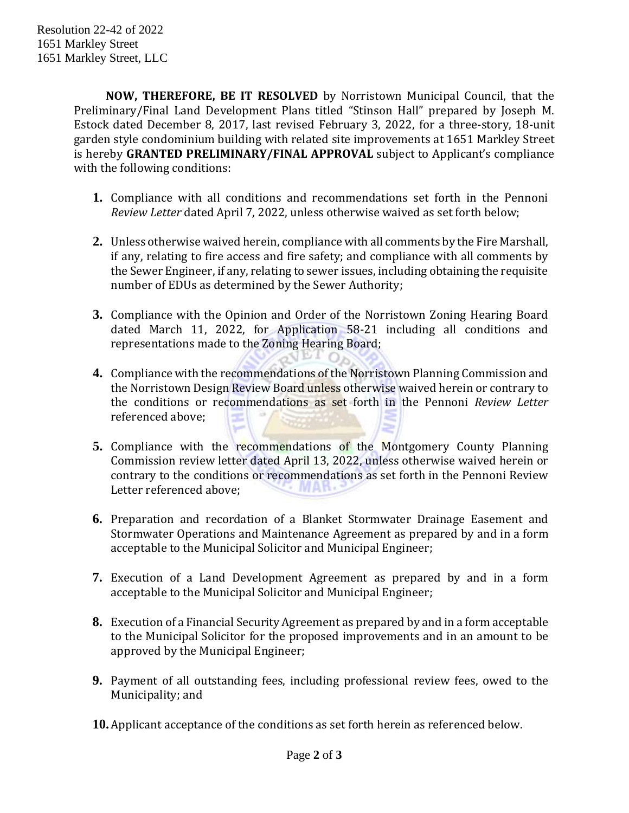**NOW, THEREFORE, BE IT RESOLVED** by Norristown Municipal Council, that the Preliminary/Final Land Development Plans titled "Stinson Hall" prepared by Joseph M. Estock dated December 8, 2017, last revised February 3, 2022, for a three-story, 18-unit garden style condominium building with related site improvements at 1651 Markley Street is hereby **GRANTED PRELIMINARY/FINAL APPROVAL** subject to Applicant's compliance with the following conditions:

- **1.** Compliance with all conditions and recommendations set forth in the Pennoni *Review Letter* dated April 7, 2022, unless otherwise waived as set forth below;
- **2.** Unless otherwise waived herein, compliance with all comments by the Fire Marshall, if any, relating to fire access and fire safety; and compliance with all comments by the Sewer Engineer, if any, relating to sewer issues, including obtaining the requisite number of EDUs as determined by the Sewer Authority;
- **3.** Compliance with the Opinion and Order of the Norristown Zoning Hearing Board dated March 11, 2022, for Application 58-21 including all conditions and representations made to the Zoning Hearing Board;
- **4.** Compliance with the recommendations of the Norristown Planning Commission and the Norristown Design Review Board unless otherwise waived herein or contrary to the conditions or recommendations as set forth in the Pennoni *Review Letter* referenced above;
- **5.** Compliance with the recommendations of the Montgomery County Planning Commission review letter dated April 13, 2022, unless otherwise waived herein or contrary to the conditions or recommendations as set forth in the Pennoni Review Letter referenced above; **MAN**
- **6.** Preparation and recordation of a Blanket Stormwater Drainage Easement and Stormwater Operations and Maintenance Agreement as prepared by and in a form acceptable to the Municipal Solicitor and Municipal Engineer;
- **7.** Execution of a Land Development Agreement as prepared by and in a form acceptable to the Municipal Solicitor and Municipal Engineer;
- **8.** Execution of a Financial Security Agreement as prepared by and in a form acceptable to the Municipal Solicitor for the proposed improvements and in an amount to be approved by the Municipal Engineer;
- **9.** Payment of all outstanding fees, including professional review fees, owed to the Municipality; and
- **10.**Applicant acceptance of the conditions as set forth herein as referenced below.